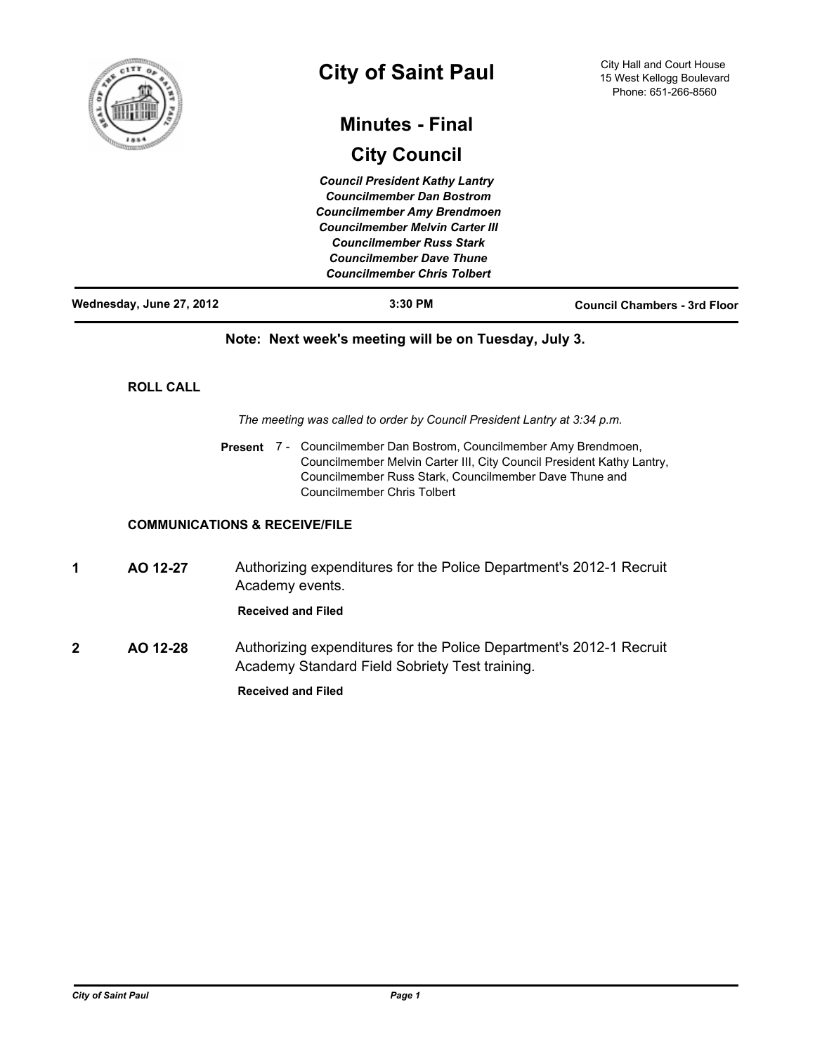

# **City of Saint Paul**

# **Minutes - Final**

# **City Council**

*Council President Kathy Lantry Councilmember Dan Bostrom Councilmember Amy Brendmoen Councilmember Melvin Carter III Councilmember Russ Stark Councilmember Dave Thune Councilmember Chris Tolbert*

| Wednesday, June 27, 2012 | $3:30$ PM | <b>Council Chambers - 3rd Floor</b> |
|--------------------------|-----------|-------------------------------------|

### **Note: Next week's meeting will be on Tuesday, July 3.**

#### **ROLL CALL**

*The meeting was called to order by Council President Lantry at 3:34 p.m.*

Present 7 - Councilmember Dan Bostrom, Councilmember Amy Brendmoen, Councilmember Melvin Carter III, City Council President Kathy Lantry, Councilmember Russ Stark, Councilmember Dave Thune and Councilmember Chris Tolbert

#### **COMMUNICATIONS & RECEIVE/FILE**

**1 AO 12-27** Authorizing expenditures for the Police Department's 2012-1 Recruit Academy events.

#### **Received and Filed**

**2 AO 12-28** Authorizing expenditures for the Police Department's 2012-1 Recruit Academy Standard Field Sobriety Test training.

**Received and Filed**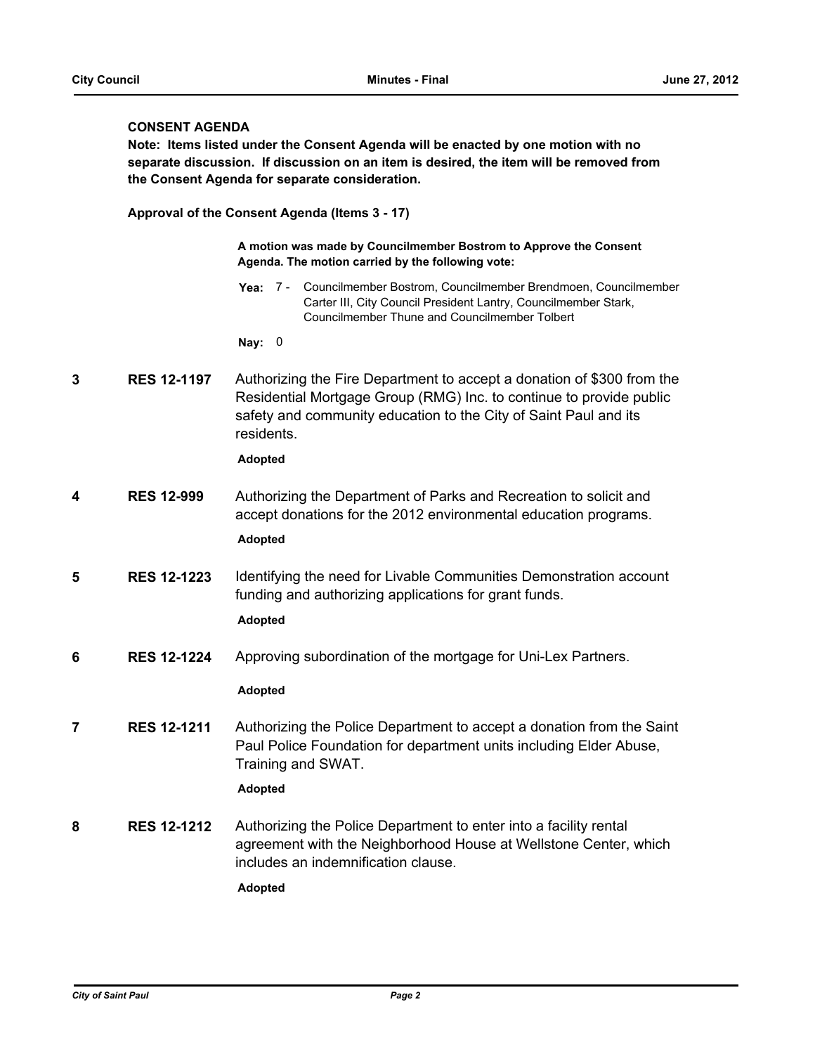#### **CONSENT AGENDA**

**Note: Items listed under the Consent Agenda will be enacted by one motion with no separate discussion. If discussion on an item is desired, the item will be removed from the Consent Agenda for separate consideration.**

**Approval of the Consent Agenda (Items 3 - 17)**

**A motion was made by Councilmember Bostrom to Approve the Consent Agenda. The motion carried by the following vote:**

Yea: 7 - Councilmember Bostrom, Councilmember Brendmoen, Councilmember Carter III, City Council President Lantry, Councilmember Stark, Councilmember Thune and Councilmember Tolbert

**Nay:** 0

**3 RES 12-1197** Authorizing the Fire Department to accept a donation of \$300 from the Residential Mortgage Group (RMG) Inc. to continue to provide public safety and community education to the City of Saint Paul and its residents.

**Adopted**

**4 RES 12-999** Authorizing the Department of Parks and Recreation to solicit and accept donations for the 2012 environmental education programs.

**Adopted**

**5 RES 12-1223** Identifying the need for Livable Communities Demonstration account funding and authorizing applications for grant funds.

**Adopted**

**6 RES 12-1224** Approving subordination of the mortgage for Uni-Lex Partners.

#### **Adopted**

**7 RES 12-1211** Authorizing the Police Department to accept a donation from the Saint Paul Police Foundation for department units including Elder Abuse, Training and SWAT.

**Adopted**

**8 RES 12-1212** Authorizing the Police Department to enter into a facility rental agreement with the Neighborhood House at Wellstone Center, which includes an indemnification clause.

**Adopted**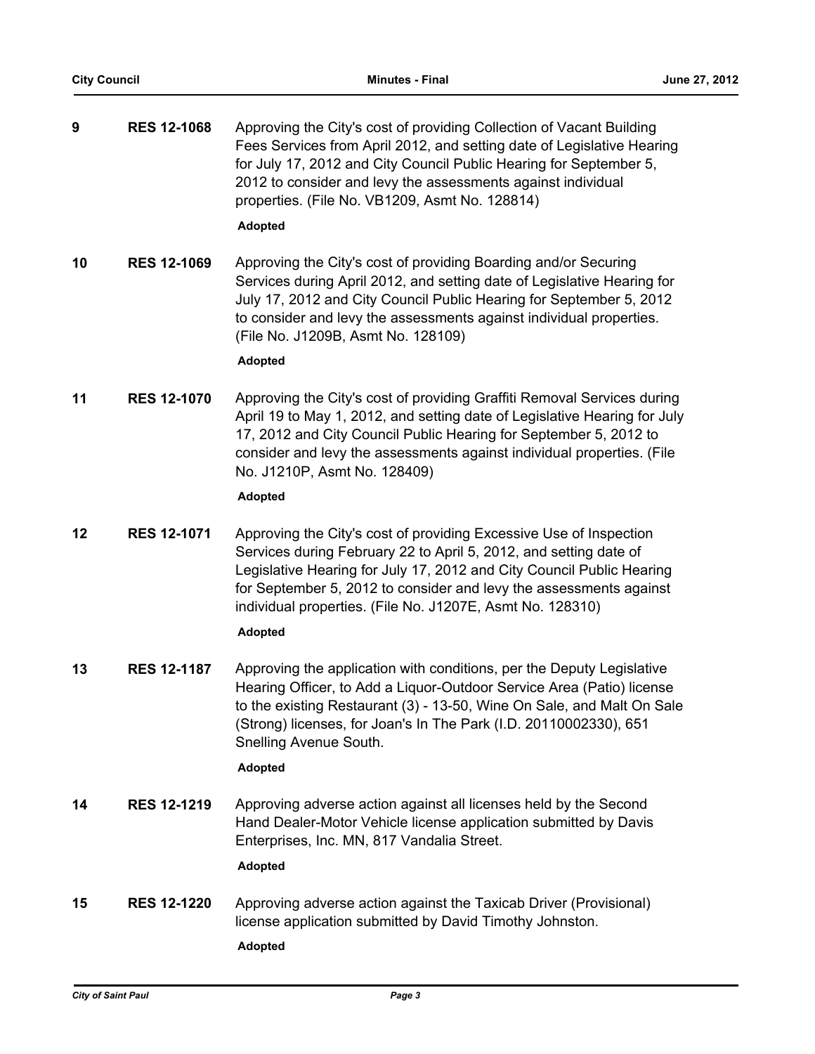| 9  | <b>RES 12-1068</b> | Approving the City's cost of providing Collection of Vacant Building<br>Fees Services from April 2012, and setting date of Legislative Hearing<br>for July 17, 2012 and City Council Public Hearing for September 5,<br>2012 to consider and levy the assessments against individual<br>properties. (File No. VB1209, Asmt No. 128814)              |
|----|--------------------|-----------------------------------------------------------------------------------------------------------------------------------------------------------------------------------------------------------------------------------------------------------------------------------------------------------------------------------------------------|
|    |                    | <b>Adopted</b>                                                                                                                                                                                                                                                                                                                                      |
| 10 | <b>RES 12-1069</b> | Approving the City's cost of providing Boarding and/or Securing<br>Services during April 2012, and setting date of Legislative Hearing for<br>July 17, 2012 and City Council Public Hearing for September 5, 2012<br>to consider and levy the assessments against individual properties.<br>(File No. J1209B, Asmt No. 128109)<br>Adopted           |
| 11 | <b>RES 12-1070</b> | Approving the City's cost of providing Graffiti Removal Services during<br>April 19 to May 1, 2012, and setting date of Legislative Hearing for July<br>17, 2012 and City Council Public Hearing for September 5, 2012 to<br>consider and levy the assessments against individual properties. (File<br>No. J1210P, Asmt No. 128409)                 |
|    |                    | Adopted                                                                                                                                                                                                                                                                                                                                             |
| 12 | <b>RES 12-1071</b> | Approving the City's cost of providing Excessive Use of Inspection<br>Services during February 22 to April 5, 2012, and setting date of<br>Legislative Hearing for July 17, 2012 and City Council Public Hearing<br>for September 5, 2012 to consider and levy the assessments against<br>individual properties. (File No. J1207E, Asmt No. 128310) |
|    |                    | <b>Adopted</b>                                                                                                                                                                                                                                                                                                                                      |
| 13 | <b>RES 12-1187</b> | Approving the application with conditions, per the Deputy Legislative<br>Hearing Officer, to Add a Liquor-Outdoor Service Area (Patio) license<br>to the existing Restaurant (3) - 13-50, Wine On Sale, and Malt On Sale<br>(Strong) licenses, for Joan's In The Park (I.D. 20110002330), 651<br>Snelling Avenue South.                             |
|    |                    | <b>Adopted</b>                                                                                                                                                                                                                                                                                                                                      |
| 14 | <b>RES 12-1219</b> | Approving adverse action against all licenses held by the Second<br>Hand Dealer-Motor Vehicle license application submitted by Davis<br>Enterprises, Inc. MN, 817 Vandalia Street.<br>Adopted                                                                                                                                                       |
| 15 | <b>RES 12-1220</b> | Approving adverse action against the Taxicab Driver (Provisional)<br>license application submitted by David Timothy Johnston.<br><b>Adopted</b>                                                                                                                                                                                                     |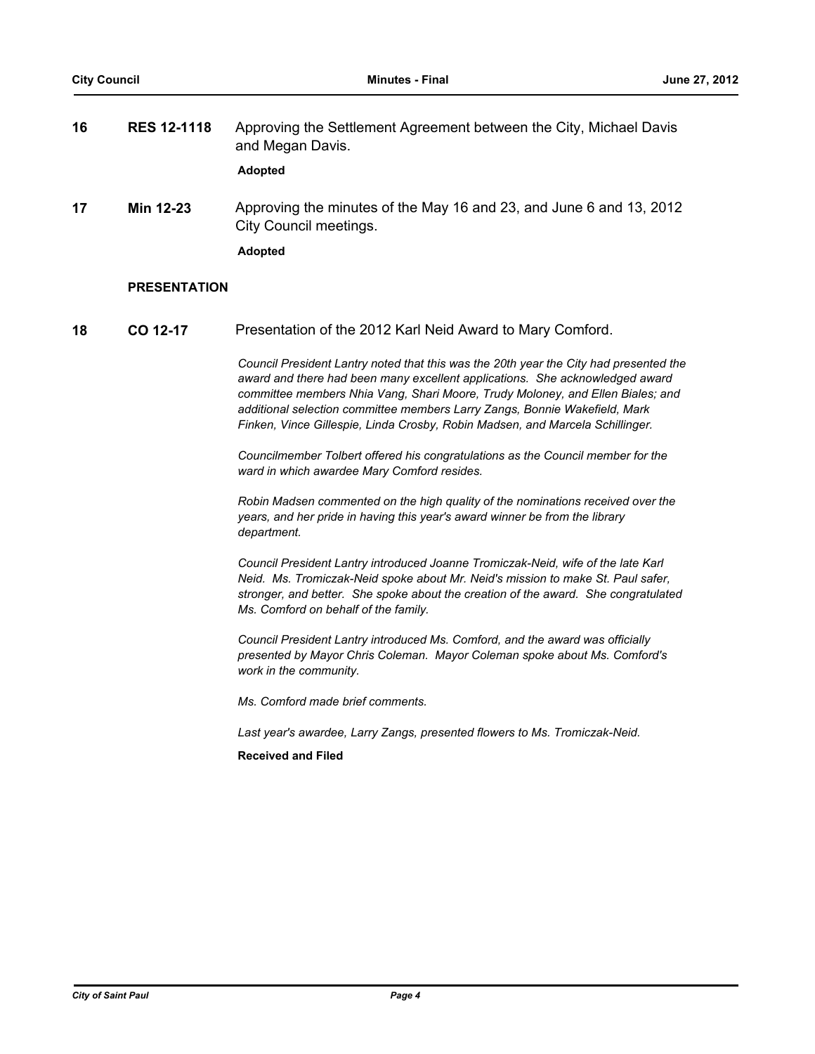| 16 | <b>RES 12-1118</b>  | Approving the Settlement Agreement between the City, Michael Davis<br>and Megan Davis.<br>Adopted               |
|----|---------------------|-----------------------------------------------------------------------------------------------------------------|
| 17 | Min 12-23           | Approving the minutes of the May 16 and 23, and June 6 and 13, 2012<br>City Council meetings.<br><b>Adopted</b> |
|    | <b>PRESENTATION</b> |                                                                                                                 |

**18 CO 12-17** Presentation of the 2012 Karl Neid Award to Mary Comford.

*Council President Lantry noted that this was the 20th year the City had presented the award and there had been many excellent applications. She acknowledged award committee members Nhia Vang, Shari Moore, Trudy Moloney, and Ellen Biales; and additional selection committee members Larry Zangs, Bonnie Wakefield, Mark Finken, Vince Gillespie, Linda Crosby, Robin Madsen, and Marcela Schillinger.*

*Councilmember Tolbert offered his congratulations as the Council member for the ward in which awardee Mary Comford resides.*

*Robin Madsen commented on the high quality of the nominations received over the years, and her pride in having this year's award winner be from the library department.*

*Council President Lantry introduced Joanne Tromiczak-Neid, wife of the late Karl Neid. Ms. Tromiczak-Neid spoke about Mr. Neid's mission to make St. Paul safer, stronger, and better. She spoke about the creation of the award. She congratulated Ms. Comford on behalf of the family.*

*Council President Lantry introduced Ms. Comford, and the award was officially presented by Mayor Chris Coleman. Mayor Coleman spoke about Ms. Comford's work in the community.*

*Ms. Comford made brief comments.*

*Last year's awardee, Larry Zangs, presented flowers to Ms. Tromiczak-Neid.*

**Received and Filed**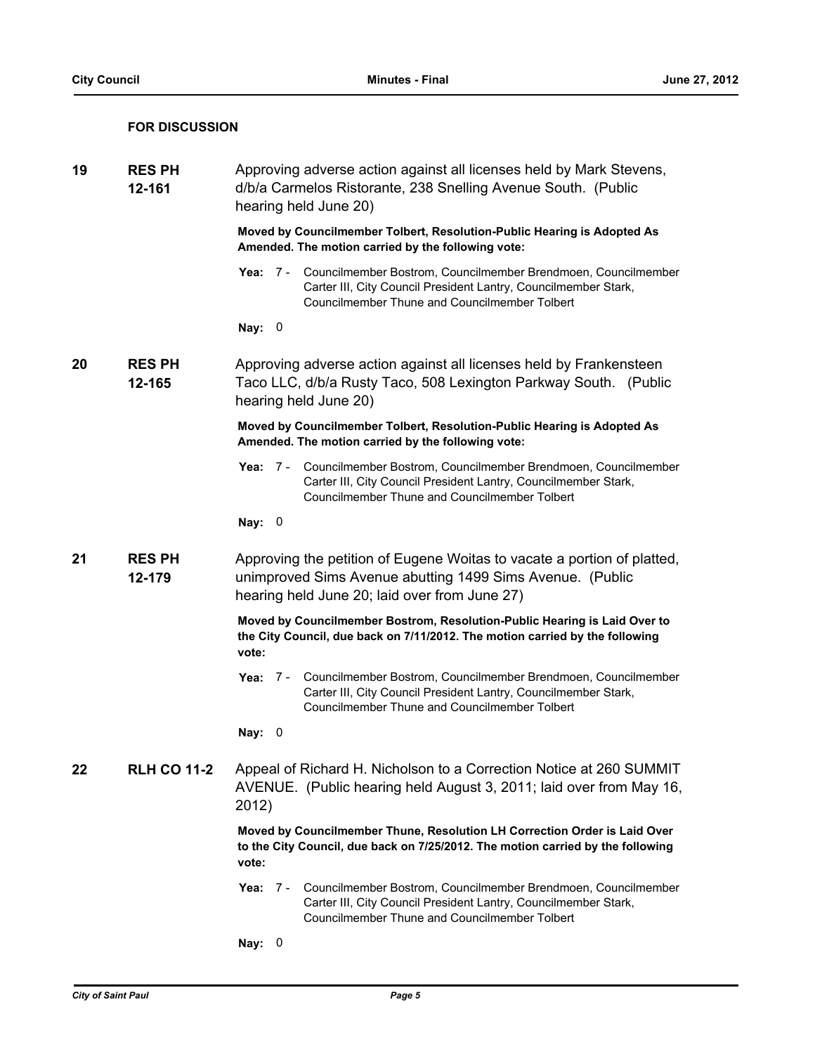#### **FOR DISCUSSION**

| 19 | <b>RES PH</b><br>12-161 |               | Approving adverse action against all licenses held by Mark Stevens,<br>d/b/a Carmelos Ristorante, 238 Snelling Avenue South. (Public<br>hearing held June 20)                              |
|----|-------------------------|---------------|--------------------------------------------------------------------------------------------------------------------------------------------------------------------------------------------|
|    |                         |               | Moved by Councilmember Tolbert, Resolution-Public Hearing is Adopted As<br>Amended. The motion carried by the following vote:                                                              |
|    |                         |               | Yea: 7 - Councilmember Bostrom, Councilmember Brendmoen, Councilmember<br>Carter III, City Council President Lantry, Councilmember Stark,<br>Councilmember Thune and Councilmember Tolbert |
|    |                         | Nay: 0        |                                                                                                                                                                                            |
| 20 | <b>RES PH</b><br>12-165 |               | Approving adverse action against all licenses held by Frankensteen<br>Taco LLC, d/b/a Rusty Taco, 508 Lexington Parkway South. (Public<br>hearing held June 20)                            |
|    |                         |               | Moved by Councilmember Tolbert, Resolution-Public Hearing is Adopted As<br>Amended. The motion carried by the following vote:                                                              |
|    |                         | Yea: $7 -$    | Councilmember Bostrom, Councilmember Brendmoen, Councilmember<br>Carter III, City Council President Lantry, Councilmember Stark,<br>Councilmember Thune and Councilmember Tolbert          |
|    |                         | Nay: 0        |                                                                                                                                                                                            |
| 21 | <b>RES PH</b><br>12-179 |               | Approving the petition of Eugene Woitas to vacate a portion of platted,<br>unimproved Sims Avenue abutting 1499 Sims Avenue. (Public<br>hearing held June 20; laid over from June 27)      |
|    |                         | vote:         | Moved by Councilmember Bostrom, Resolution-Public Hearing is Laid Over to<br>the City Council, due back on 7/11/2012. The motion carried by the following                                  |
|    |                         |               | Yea: 7 - Councilmember Bostrom, Councilmember Brendmoen, Councilmember<br>Carter III, City Council President Lantry, Councilmember Stark,<br>Councilmember Thune and Councilmember Tolbert |
|    |                         | Nay: $0$      |                                                                                                                                                                                            |
| 22 | <b>RLH CO 11-2</b>      | 2012)         | Appeal of Richard H. Nicholson to a Correction Notice at 260 SUMMIT<br>AVENUE. (Public hearing held August 3, 2011; laid over from May 16,                                                 |
|    |                         | vote:         | Moved by Councilmember Thune, Resolution LH Correction Order is Laid Over<br>to the City Council, due back on 7/25/2012. The motion carried by the following                               |
|    |                         | Yea:<br>- 7 - | Councilmember Bostrom, Councilmember Brendmoen, Councilmember<br>Carter III, City Council President Lantry, Councilmember Stark,<br>Councilmember Thune and Councilmember Tolbert          |
|    |                         | Nay: 0        |                                                                                                                                                                                            |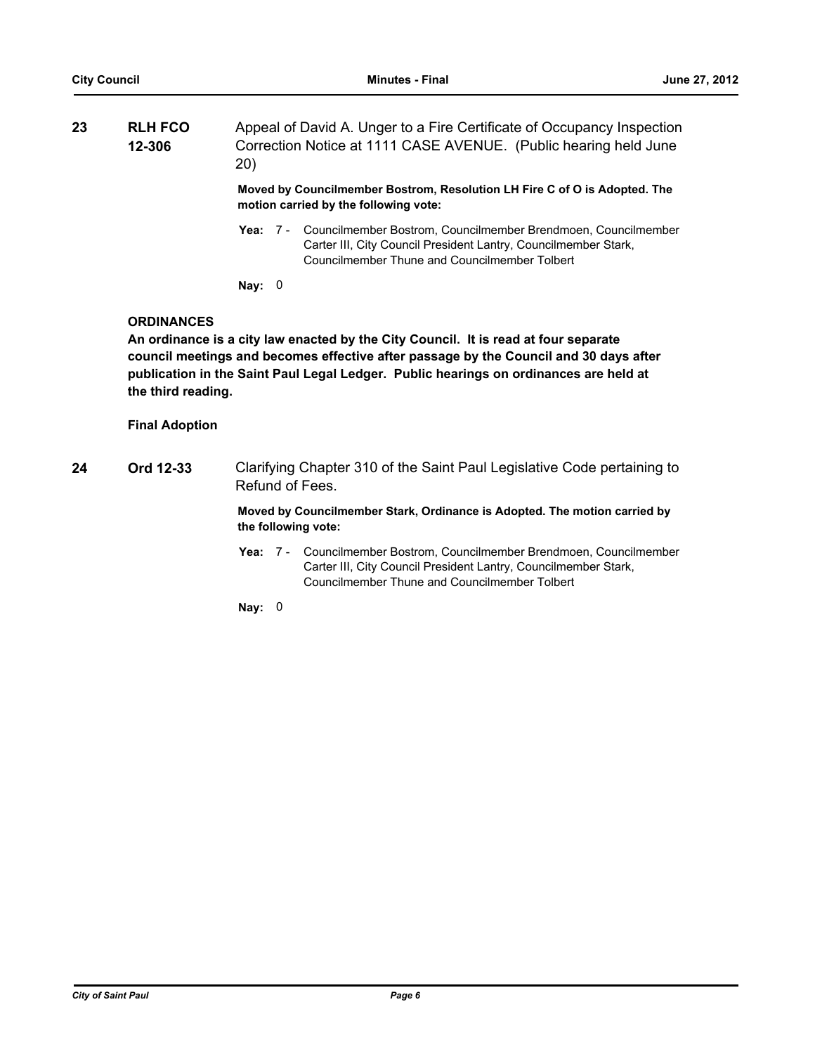| 23 | <b>RLH FCO</b> | Appeal of David A. Unger to a Fire Certificate of Occupancy Inspection        |
|----|----------------|-------------------------------------------------------------------------------|
|    | 12-306         | Correction Notice at 1111 CASE AVENUE. (Public hearing held June<br><b>20</b> |

**Moved by Councilmember Bostrom, Resolution LH Fire C of O is Adopted. The motion carried by the following vote:**

- Yea: 7 Councilmember Bostrom, Councilmember Brendmoen, Councilmember Carter III, City Council President Lantry, Councilmember Stark, Councilmember Thune and Councilmember Tolbert
- **Nay:** 0

#### **ORDINANCES**

**An ordinance is a city law enacted by the City Council. It is read at four separate council meetings and becomes effective after passage by the Council and 30 days after publication in the Saint Paul Legal Ledger. Public hearings on ordinances are held at the third reading.**

#### **Final Adoption**

**24 Ord 12-33** Clarifying Chapter 310 of the Saint Paul Legislative Code pertaining to Refund of Fees.

#### **Moved by Councilmember Stark, Ordinance is Adopted. The motion carried by the following vote:**

Yea: 7 - Councilmember Bostrom, Councilmember Brendmoen, Councilmember Carter III, City Council President Lantry, Councilmember Stark, Councilmember Thune and Councilmember Tolbert

**Nay:** 0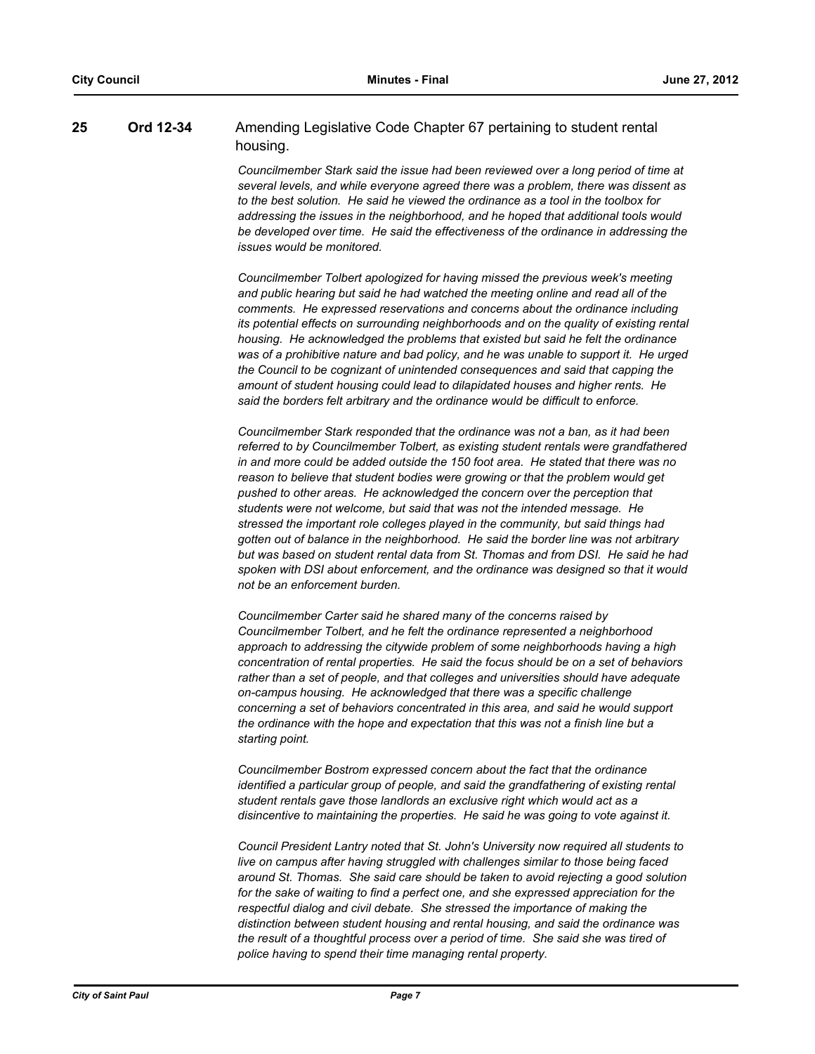### **25 Ord 12-34** Amending Legislative Code Chapter 67 pertaining to student rental housing.

*Councilmember Stark said the issue had been reviewed over a long period of time at several levels, and while everyone agreed there was a problem, there was dissent as to the best solution. He said he viewed the ordinance as a tool in the toolbox for addressing the issues in the neighborhood, and he hoped that additional tools would be developed over time. He said the effectiveness of the ordinance in addressing the issues would be monitored.*

*Councilmember Tolbert apologized for having missed the previous week's meeting and public hearing but said he had watched the meeting online and read all of the comments. He expressed reservations and concerns about the ordinance including its potential effects on surrounding neighborhoods and on the quality of existing rental housing. He acknowledged the problems that existed but said he felt the ordinance was of a prohibitive nature and bad policy, and he was unable to support it. He urged the Council to be cognizant of unintended consequences and said that capping the amount of student housing could lead to dilapidated houses and higher rents. He said the borders felt arbitrary and the ordinance would be difficult to enforce.*

*Councilmember Stark responded that the ordinance was not a ban, as it had been referred to by Councilmember Tolbert, as existing student rentals were grandfathered in and more could be added outside the 150 foot area. He stated that there was no reason to believe that student bodies were growing or that the problem would get pushed to other areas. He acknowledged the concern over the perception that students were not welcome, but said that was not the intended message. He stressed the important role colleges played in the community, but said things had gotten out of balance in the neighborhood. He said the border line was not arbitrary but was based on student rental data from St. Thomas and from DSI. He said he had spoken with DSI about enforcement, and the ordinance was designed so that it would not be an enforcement burden.*

*Councilmember Carter said he shared many of the concerns raised by Councilmember Tolbert, and he felt the ordinance represented a neighborhood approach to addressing the citywide problem of some neighborhoods having a high concentration of rental properties. He said the focus should be on a set of behaviors rather than a set of people, and that colleges and universities should have adequate on-campus housing. He acknowledged that there was a specific challenge concerning a set of behaviors concentrated in this area, and said he would support the ordinance with the hope and expectation that this was not a finish line but a starting point.*

*Councilmember Bostrom expressed concern about the fact that the ordinance identified a particular group of people, and said the grandfathering of existing rental student rentals gave those landlords an exclusive right which would act as a disincentive to maintaining the properties. He said he was going to vote against it.*

*Council President Lantry noted that St. John's University now required all students to live on campus after having struggled with challenges similar to those being faced around St. Thomas. She said care should be taken to avoid rejecting a good solution for the sake of waiting to find a perfect one, and she expressed appreciation for the respectful dialog and civil debate. She stressed the importance of making the distinction between student housing and rental housing, and said the ordinance was the result of a thoughtful process over a period of time. She said she was tired of police having to spend their time managing rental property.*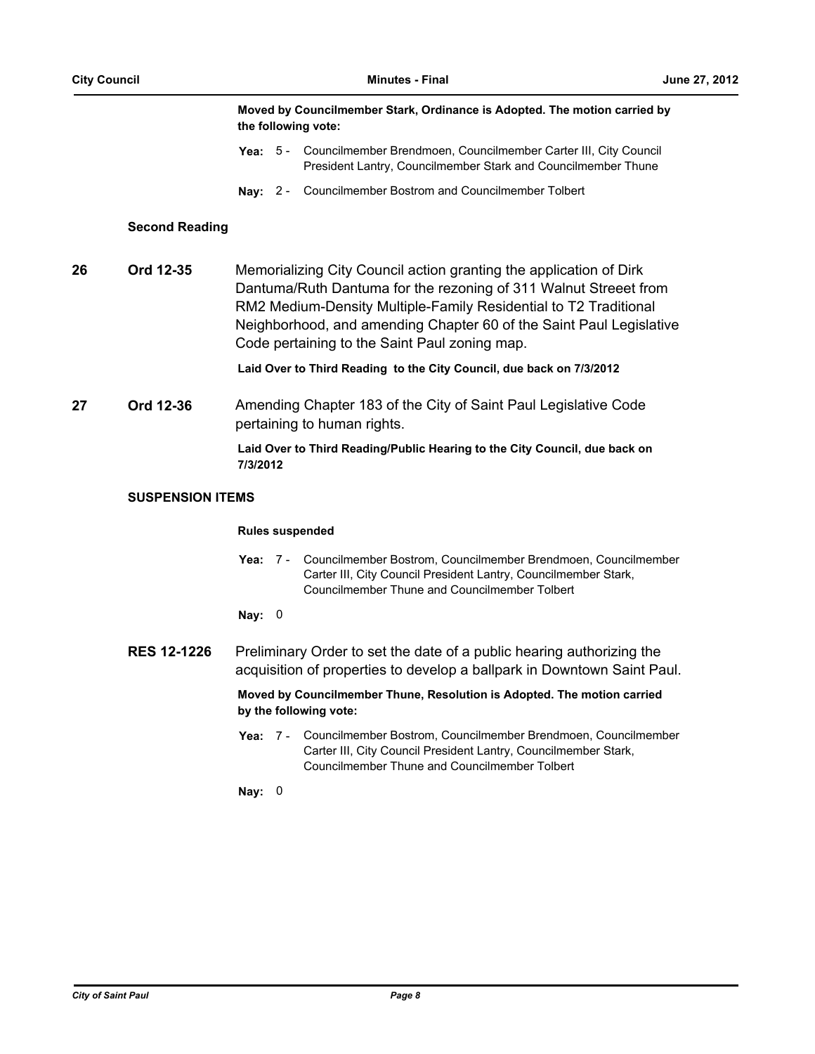#### **Moved by Councilmember Stark, Ordinance is Adopted. The motion carried by the following vote:**

- Yea: 5 Councilmember Brendmoen, Councilmember Carter III, City Council President Lantry, Councilmember Stark and Councilmember Thune
- **Nay:** 2 Councilmember Bostrom and Councilmember Tolbert

#### **Second Reading**

**26 Ord 12-35** Memorializing City Council action granting the application of Dirk Dantuma/Ruth Dantuma for the rezoning of 311 Walnut Streeet from RM2 Medium-Density Multiple-Family Residential to T2 Traditional Neighborhood, and amending Chapter 60 of the Saint Paul Legislative Code pertaining to the Saint Paul zoning map.

**Laid Over to Third Reading to the City Council, due back on 7/3/2012**

**27 Ord 12-36** Amending Chapter 183 of the City of Saint Paul Legislative Code pertaining to human rights.

> **Laid Over to Third Reading/Public Hearing to the City Council, due back on 7/3/2012**

#### **SUSPENSION ITEMS**

#### **Rules suspended**

**Yea:** Councilmember Bostrom, Councilmember Brendmoen, Councilmember Carter III, City Council President Lantry, Councilmember Stark, Councilmember Thune and Councilmember Tolbert Yea: 7 -

#### **Nay:** 0

**RES 12-1226** Preliminary Order to set the date of a public hearing authorizing the acquisition of properties to develop a ballpark in Downtown Saint Paul.

> **Moved by Councilmember Thune, Resolution is Adopted. The motion carried by the following vote:**

Yea: 7 - Councilmember Bostrom, Councilmember Brendmoen, Councilmember Carter III, City Council President Lantry, Councilmember Stark, Councilmember Thune and Councilmember Tolbert

**Nay:** 0